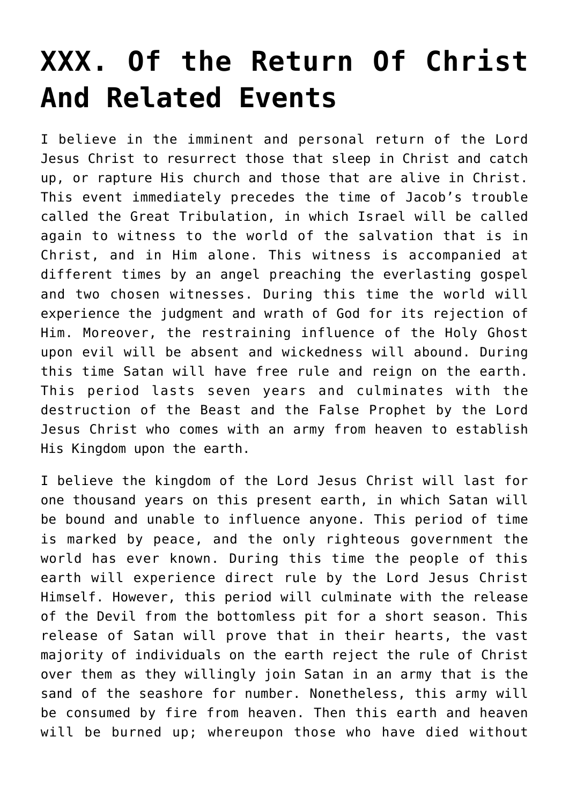## **[XXX. Of the Return Of Christ](https://reproachofmen.org/statement-of-faith/xxx-of-the-return-of-christ-and-related-events/) [And Related Events](https://reproachofmen.org/statement-of-faith/xxx-of-the-return-of-christ-and-related-events/)**

I believe in the imminent and personal return of the Lord Jesus Christ to resurrect those that sleep in Christ and catch up, or rapture His church and those that are alive in Christ. This event immediately precedes the time of Jacob's trouble called the Great Tribulation, in which Israel will be called again to witness to the world of the salvation that is in Christ, and in Him alone. This witness is accompanied at different times by an angel preaching the everlasting gospel and two chosen witnesses. During this time the world will experience the judgment and wrath of God for its rejection of Him. Moreover, the restraining influence of the Holy Ghost upon evil will be absent and wickedness will abound. During this time Satan will have free rule and reign on the earth. This period lasts seven years and culminates with the destruction of the Beast and the False Prophet by the Lord Jesus Christ who comes with an army from heaven to establish His Kingdom upon the earth.

I believe the kingdom of the Lord Jesus Christ will last for one thousand years on this present earth, in which Satan will be bound and unable to influence anyone. This period of time is marked by peace, and the only righteous government the world has ever known. During this time the people of this earth will experience direct rule by the Lord Jesus Christ Himself. However, this period will culminate with the release of the Devil from the bottomless pit for a short season. This release of Satan will prove that in their hearts, the vast majority of individuals on the earth reject the rule of Christ over them as they willingly join Satan in an army that is the sand of the seashore for number. Nonetheless, this army will be consumed by fire from heaven. Then this earth and heaven will be burned up; whereupon those who have died without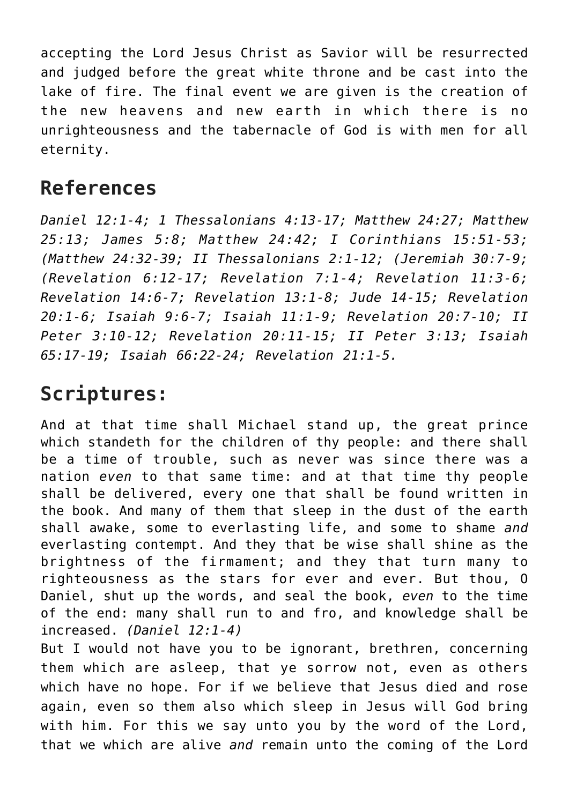accepting the Lord Jesus Christ as Savior will be resurrected and judged before the great white throne and be cast into the lake of fire. The final event we are given is the creation of the new heavens and new earth in which there is no unrighteousness and the tabernacle of God is with men for all eternity.

## **References**

*Daniel 12:1-4; 1 Thessalonians 4:13-17; Matthew 24:27; Matthew 25:13; James 5:8; Matthew 24:42; I Corinthians 15:51-53; (Matthew 24:32-39; II Thessalonians 2:1-12; (Jeremiah 30:7-9; (Revelation 6:12-17; Revelation 7:1-4; Revelation 11:3-6; Revelation 14:6-7; Revelation 13:1-8; Jude 14-15; Revelation 20:1-6; Isaiah 9:6-7; Isaiah 11:1-9; Revelation 20:7-10; II Peter 3:10-12; Revelation 20:11-15; II Peter 3:13; Isaiah 65:17-19; Isaiah 66:22-24; Revelation 21:1-5.*

## **Scriptures:**

And at that time shall Michael stand up, the great prince which standeth for the children of thy people: and there shall be a time of trouble, such as never was since there was a nation *even* to that same time: and at that time thy people shall be delivered, every one that shall be found written in the book. And many of them that sleep in the dust of the earth shall awake, some to everlasting life, and some to shame *and* everlasting contempt. And they that be wise shall shine as the brightness of the firmament; and they that turn many to righteousness as the stars for ever and ever. But thou, O Daniel, shut up the words, and seal the book, *even* to the time of the end: many shall run to and fro, and knowledge shall be increased. *(Daniel 12:1-4)*

But I would not have you to be ignorant, brethren, concerning them which are asleep, that ye sorrow not, even as others which have no hope. For if we believe that Jesus died and rose again, even so them also which sleep in Jesus will God bring with him. For this we say unto you by the word of the Lord, that we which are alive *and* remain unto the coming of the Lord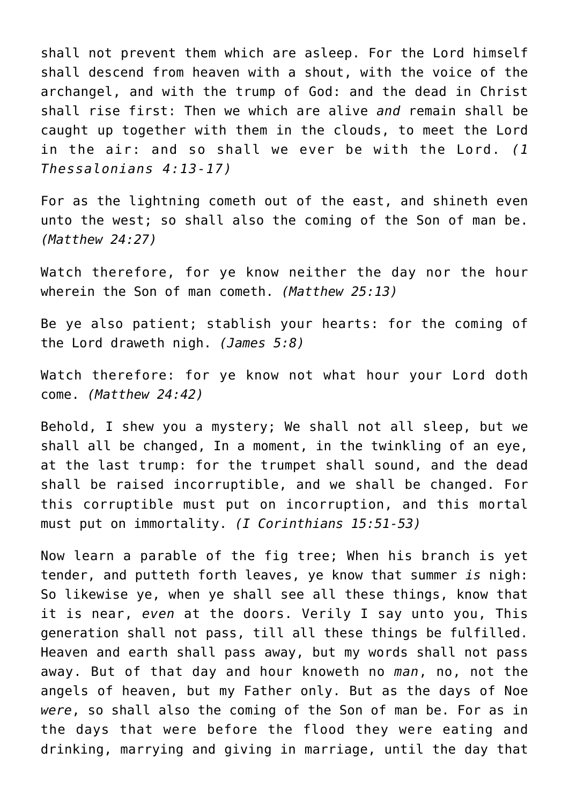shall not prevent them which are asleep. For the Lord himself shall descend from heaven with a shout, with the voice of the archangel, and with the trump of God: and the dead in Christ shall rise first: Then we which are alive *and* remain shall be caught up together with them in the clouds, to meet the Lord in the air: and so shall we ever be with the Lord. *(1 Thessalonians 4:13-17)*

For as the lightning cometh out of the east, and shineth even unto the west; so shall also the coming of the Son of man be. *(Matthew 24:27)*

Watch therefore, for ye know neither the day nor the hour wherein the Son of man cometh. *(Matthew 25:13)*

Be ye also patient; stablish your hearts: for the coming of the Lord draweth nigh. *(James 5:8)*

Watch therefore: for ye know not what hour your Lord doth come. *(Matthew 24:42)*

Behold, I shew you a mystery; We shall not all sleep, but we shall all be changed, In a moment, in the twinkling of an eye, at the last trump: for the trumpet shall sound, and the dead shall be raised incorruptible, and we shall be changed. For this corruptible must put on incorruption, and this mortal must put on immortality. *(I Corinthians 15:51-53)*

Now learn a parable of the fig tree; When his branch is yet tender, and putteth forth leaves, ye know that summer *is* nigh: So likewise ye, when ye shall see all these things, know that it is near, *even* at the doors. Verily I say unto you, This generation shall not pass, till all these things be fulfilled. Heaven and earth shall pass away, but my words shall not pass away. But of that day and hour knoweth no *man*, no, not the angels of heaven, but my Father only. But as the days of Noe *were*, so shall also the coming of the Son of man be. For as in the days that were before the flood they were eating and drinking, marrying and giving in marriage, until the day that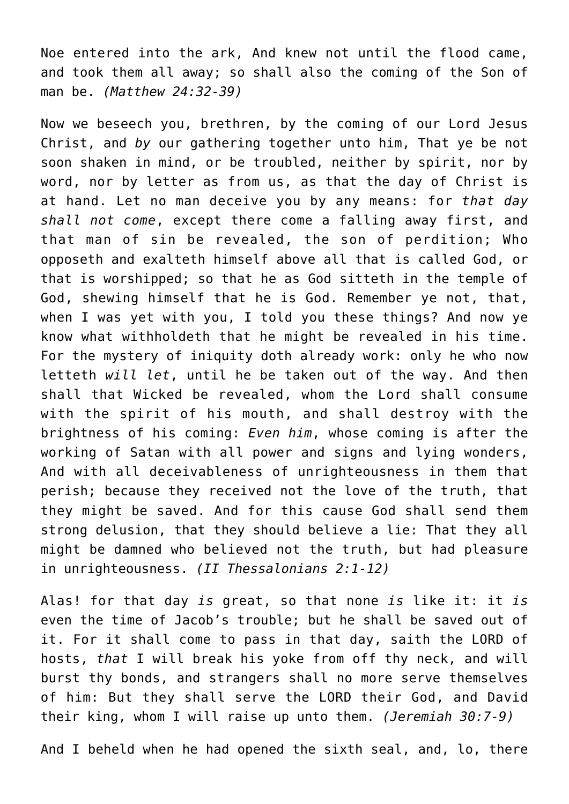Noe entered into the ark, And knew not until the flood came, and took them all away; so shall also the coming of the Son of man be. *(Matthew 24:32-39)*

Now we beseech you, brethren, by the coming of our Lord Jesus Christ, and *by* our gathering together unto him, That ye be not soon shaken in mind, or be troubled, neither by spirit, nor by word, nor by letter as from us, as that the day of Christ is at hand. Let no man deceive you by any means: for *that day shall not come*, except there come a falling away first, and that man of sin be revealed, the son of perdition; Who opposeth and exalteth himself above all that is called God, or that is worshipped; so that he as God sitteth in the temple of God, shewing himself that he is God. Remember ye not, that, when I was yet with you, I told you these things? And now ye know what withholdeth that he might be revealed in his time. For the mystery of iniquity doth already work: only he who now letteth *will let*, until he be taken out of the way. And then shall that Wicked be revealed, whom the Lord shall consume with the spirit of his mouth, and shall destroy with the brightness of his coming: *Even him*, whose coming is after the working of Satan with all power and signs and lying wonders, And with all deceivableness of unrighteousness in them that perish; because they received not the love of the truth, that they might be saved. And for this cause God shall send them strong delusion, that they should believe a lie: That they all might be damned who believed not the truth, but had pleasure in unrighteousness. *(II Thessalonians 2:1-12)*

Alas! for that day *is* great, so that none *is* like it: it *is* even the time of Jacob's trouble; but he shall be saved out of it. For it shall come to pass in that day, saith the LORD of hosts, *that* I will break his yoke from off thy neck, and will burst thy bonds, and strangers shall no more serve themselves of him: But they shall serve the LORD their God, and David their king, whom I will raise up unto them. *(Jeremiah 30:7-9)*

And I beheld when he had opened the sixth seal, and, lo, there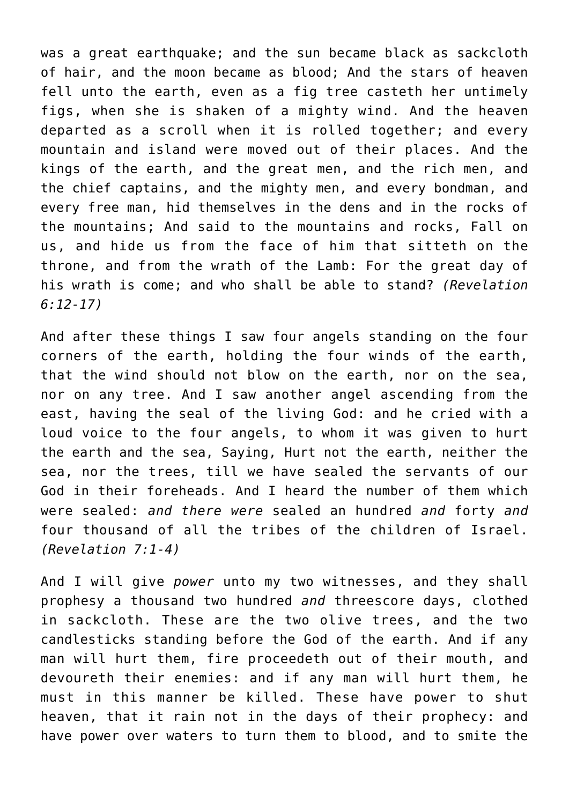was a great earthquake; and the sun became black as sackcloth of hair, and the moon became as blood; And the stars of heaven fell unto the earth, even as a fig tree casteth her untimely figs, when she is shaken of a mighty wind. And the heaven departed as a scroll when it is rolled together; and every mountain and island were moved out of their places. And the kings of the earth, and the great men, and the rich men, and the chief captains, and the mighty men, and every bondman, and every free man, hid themselves in the dens and in the rocks of the mountains; And said to the mountains and rocks, Fall on us, and hide us from the face of him that sitteth on the throne, and from the wrath of the Lamb: For the great day of his wrath is come; and who shall be able to stand? *(Revelation 6:12-17)*

And after these things I saw four angels standing on the four corners of the earth, holding the four winds of the earth, that the wind should not blow on the earth, nor on the sea, nor on any tree. And I saw another angel ascending from the east, having the seal of the living God: and he cried with a loud voice to the four angels, to whom it was given to hurt the earth and the sea, Saying, Hurt not the earth, neither the sea, nor the trees, till we have sealed the servants of our God in their foreheads. And I heard the number of them which were sealed: *and there were* sealed an hundred *and* forty *and* four thousand of all the tribes of the children of Israel. *(Revelation 7:1-4)*

And I will give *power* unto my two witnesses, and they shall prophesy a thousand two hundred *and* threescore days, clothed in sackcloth. These are the two olive trees, and the two candlesticks standing before the God of the earth. And if any man will hurt them, fire proceedeth out of their mouth, and devoureth their enemies: and if any man will hurt them, he must in this manner be killed. These have power to shut heaven, that it rain not in the days of their prophecy: and have power over waters to turn them to blood, and to smite the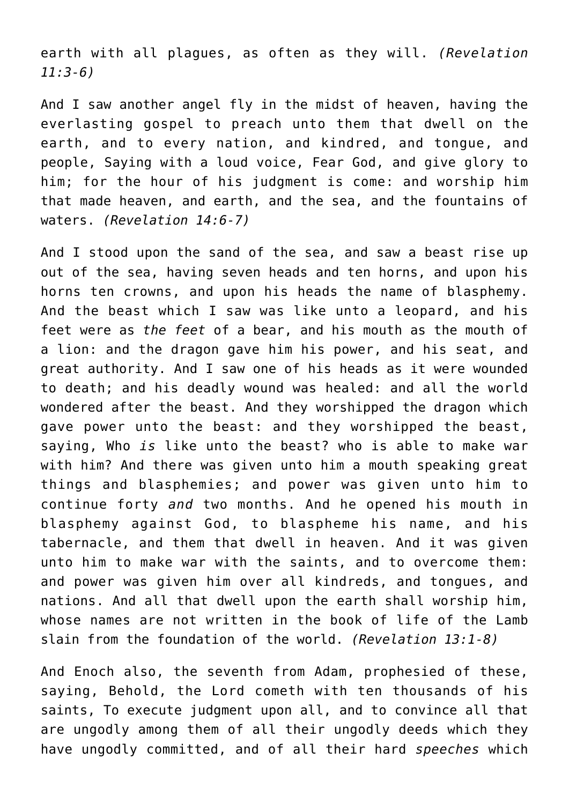earth with all plagues, as often as they will. *(Revelation 11:3-6)*

And I saw another angel fly in the midst of heaven, having the everlasting gospel to preach unto them that dwell on the earth, and to every nation, and kindred, and tongue, and people, Saying with a loud voice, Fear God, and give glory to him; for the hour of his judgment is come: and worship him that made heaven, and earth, and the sea, and the fountains of waters. *(Revelation 14:6-7)*

And I stood upon the sand of the sea, and saw a beast rise up out of the sea, having seven heads and ten horns, and upon his horns ten crowns, and upon his heads the name of blasphemy. And the beast which I saw was like unto a leopard, and his feet were as *the feet* of a bear, and his mouth as the mouth of a lion: and the dragon gave him his power, and his seat, and great authority. And I saw one of his heads as it were wounded to death; and his deadly wound was healed: and all the world wondered after the beast. And they worshipped the dragon which gave power unto the beast: and they worshipped the beast, saying, Who *is* like unto the beast? who is able to make war with him? And there was given unto him a mouth speaking great things and blasphemies; and power was given unto him to continue forty *and* two months. And he opened his mouth in blasphemy against God, to blaspheme his name, and his tabernacle, and them that dwell in heaven. And it was given unto him to make war with the saints, and to overcome them: and power was given him over all kindreds, and tongues, and nations. And all that dwell upon the earth shall worship him, whose names are not written in the book of life of the Lamb slain from the foundation of the world. *(Revelation 13:1-8)*

And Enoch also, the seventh from Adam, prophesied of these, saying, Behold, the Lord cometh with ten thousands of his saints, To execute judgment upon all, and to convince all that are ungodly among them of all their ungodly deeds which they have ungodly committed, and of all their hard *speeches* which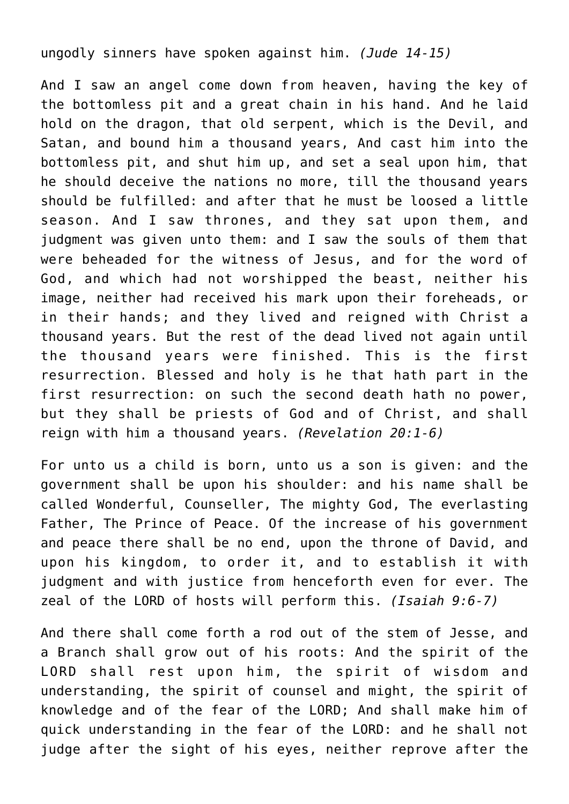ungodly sinners have spoken against him. *(Jude 14-15)*

And I saw an angel come down from heaven, having the key of the bottomless pit and a great chain in his hand. And he laid hold on the dragon, that old serpent, which is the Devil, and Satan, and bound him a thousand years, And cast him into the bottomless pit, and shut him up, and set a seal upon him, that he should deceive the nations no more, till the thousand years should be fulfilled: and after that he must be loosed a little season. And I saw thrones, and they sat upon them, and judgment was given unto them: and I saw the souls of them that were beheaded for the witness of Jesus, and for the word of God, and which had not worshipped the beast, neither his image, neither had received his mark upon their foreheads, or in their hands; and they lived and reigned with Christ a thousand years. But the rest of the dead lived not again until the thousand years were finished. This is the first resurrection. Blessed and holy is he that hath part in the first resurrection: on such the second death hath no power, but they shall be priests of God and of Christ, and shall reign with him a thousand years. *(Revelation 20:1-6)*

For unto us a child is born, unto us a son is given: and the government shall be upon his shoulder: and his name shall be called Wonderful, Counseller, The mighty God, The everlasting Father, The Prince of Peace. Of the increase of his government and peace there shall be no end, upon the throne of David, and upon his kingdom, to order it, and to establish it with judgment and with justice from henceforth even for ever. The zeal of the LORD of hosts will perform this. *(Isaiah 9:6-7)*

And there shall come forth a rod out of the stem of Jesse, and a Branch shall grow out of his roots: And the spirit of the LORD shall rest upon him, the spirit of wisdom and understanding, the spirit of counsel and might, the spirit of knowledge and of the fear of the LORD; And shall make him of quick understanding in the fear of the LORD: and he shall not judge after the sight of his eyes, neither reprove after the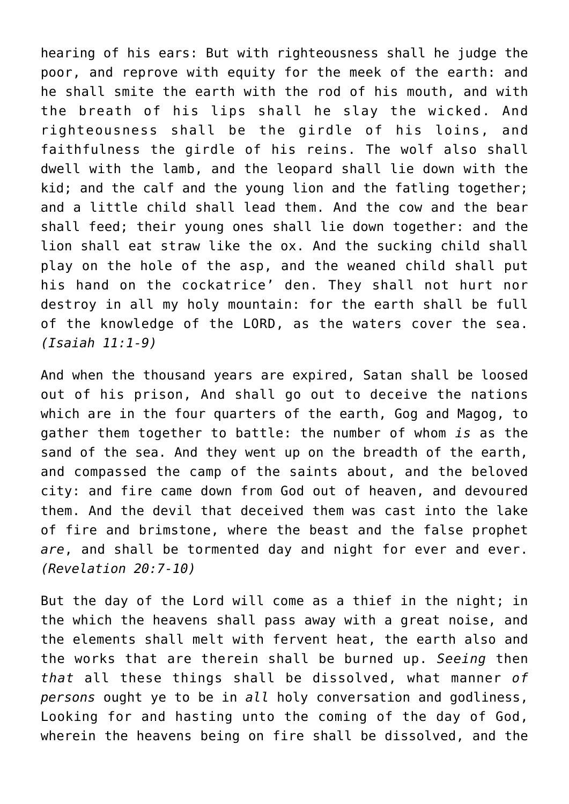hearing of his ears: But with righteousness shall he judge the poor, and reprove with equity for the meek of the earth: and he shall smite the earth with the rod of his mouth, and with the breath of his lips shall he slay the wicked. And righteousness shall be the girdle of his loins, and faithfulness the girdle of his reins. The wolf also shall dwell with the lamb, and the leopard shall lie down with the kid; and the calf and the young lion and the fatling together; and a little child shall lead them. And the cow and the bear shall feed; their young ones shall lie down together: and the lion shall eat straw like the ox. And the sucking child shall play on the hole of the asp, and the weaned child shall put his hand on the cockatrice' den. They shall not hurt nor destroy in all my holy mountain: for the earth shall be full of the knowledge of the LORD, as the waters cover the sea. *(Isaiah 11:1-9)*

And when the thousand years are expired, Satan shall be loosed out of his prison, And shall go out to deceive the nations which are in the four quarters of the earth, Gog and Magog, to gather them together to battle: the number of whom *is* as the sand of the sea. And they went up on the breadth of the earth, and compassed the camp of the saints about, and the beloved city: and fire came down from God out of heaven, and devoured them. And the devil that deceived them was cast into the lake of fire and brimstone, where the beast and the false prophet *are*, and shall be tormented day and night for ever and ever. *(Revelation 20:7-10)*

But the day of the Lord will come as a thief in the night; in the which the heavens shall pass away with a great noise, and the elements shall melt with fervent heat, the earth also and the works that are therein shall be burned up. *Seeing* then *that* all these things shall be dissolved, what manner *of persons* ought ye to be in *all* holy conversation and godliness, Looking for and hasting unto the coming of the day of God, wherein the heavens being on fire shall be dissolved, and the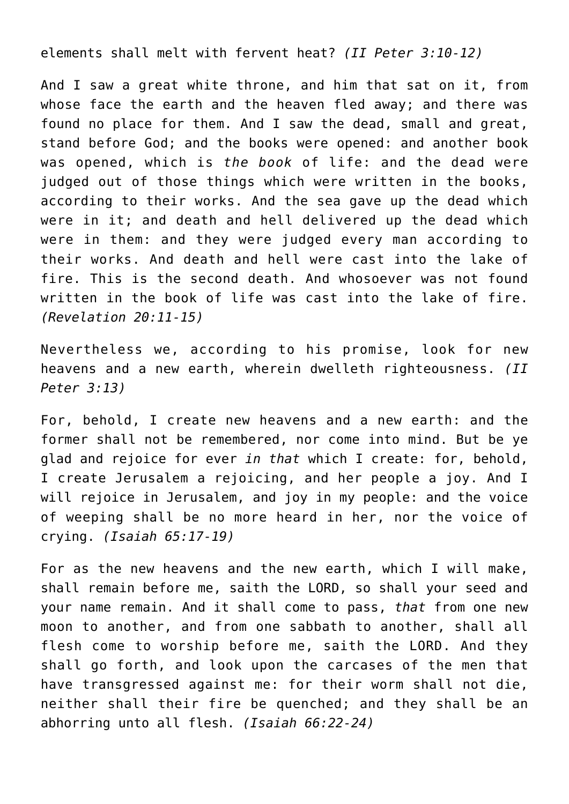elements shall melt with fervent heat? *(II Peter 3:10-12)*

And I saw a great white throne, and him that sat on it, from whose face the earth and the heaven fled away; and there was found no place for them. And I saw the dead, small and great, stand before God; and the books were opened: and another book was opened, which is *the book* of life: and the dead were judged out of those things which were written in the books, according to their works. And the sea gave up the dead which were in it; and death and hell delivered up the dead which were in them: and they were judged every man according to their works. And death and hell were cast into the lake of fire. This is the second death. And whosoever was not found written in the book of life was cast into the lake of fire. *(Revelation 20:11-15)*

Nevertheless we, according to his promise, look for new heavens and a new earth, wherein dwelleth righteousness. *(II Peter 3:13)*

For, behold, I create new heavens and a new earth: and the former shall not be remembered, nor come into mind. But be ye glad and rejoice for ever *in that* which I create: for, behold, I create Jerusalem a rejoicing, and her people a joy. And I will rejoice in Jerusalem, and joy in my people: and the voice of weeping shall be no more heard in her, nor the voice of crying. *(Isaiah 65:17-19)*

For as the new heavens and the new earth, which I will make, shall remain before me, saith the LORD, so shall your seed and your name remain. And it shall come to pass, *that* from one new moon to another, and from one sabbath to another, shall all flesh come to worship before me, saith the LORD. And they shall go forth, and look upon the carcases of the men that have transgressed against me: for their worm shall not die, neither shall their fire be quenched; and they shall be an abhorring unto all flesh. *(Isaiah 66:22-24)*